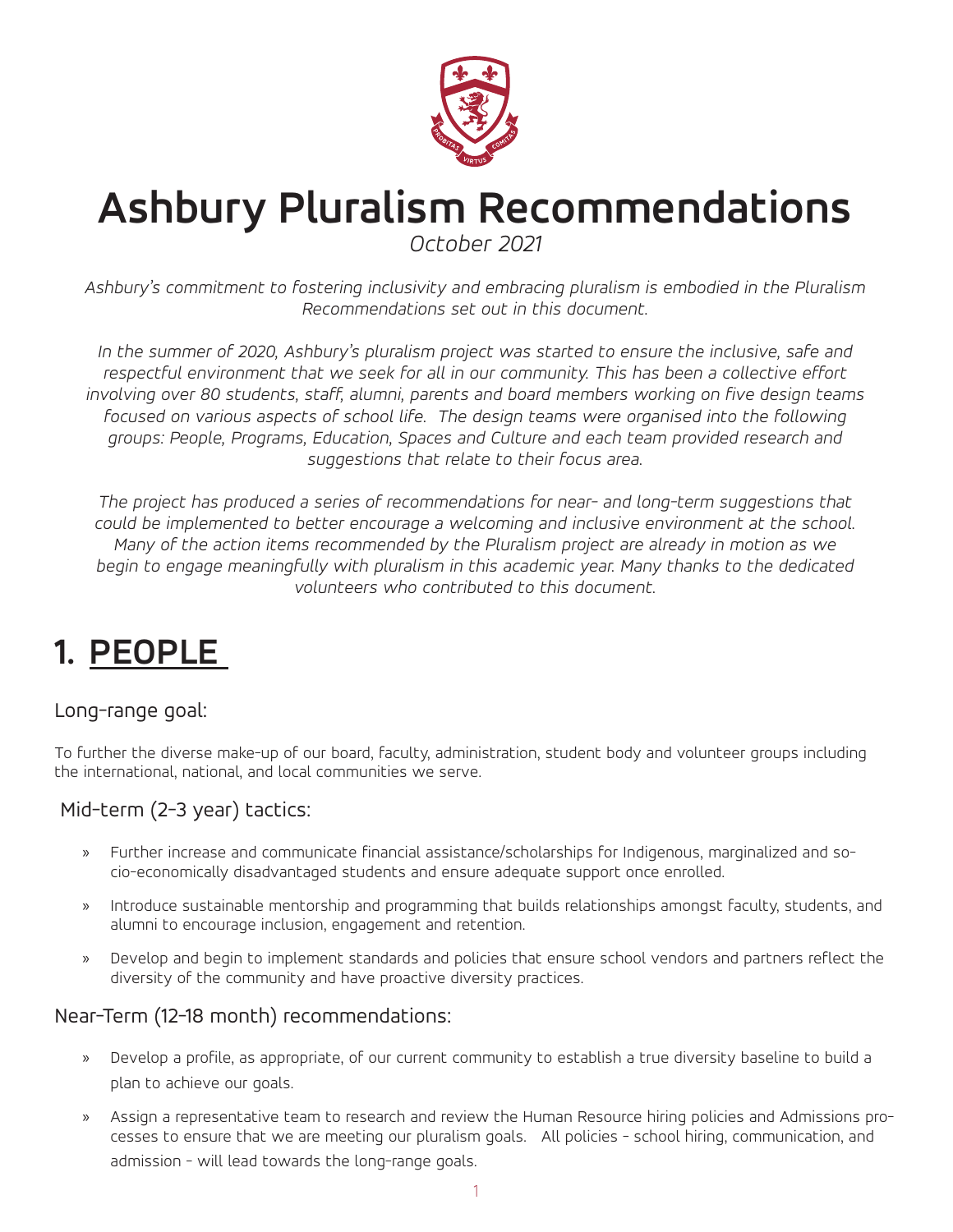

# **Ashbury Pluralism Recommendations**

*October 2021*

*Ashbury's commitment to fostering inclusivity and embracing pluralism is embodied in the Pluralism Recommendations set out in this document.*

*In the summer of 2020, Ashbury's pluralism project was started to ensure the inclusive, safe and*  respectful environment that we seek for all in our community. This has been a collective effort *involving over 80 students, staff, alumni, parents and board members working on five design teams focused on various aspects of school life. The design teams were organised into the following groups: People, Programs, Education, Spaces and Culture and each team provided research and suggestions that relate to their focus area.*

*The project has produced a series of recommendations for near- and long-term suggestions that could be implemented to better encourage a welcoming and inclusive environment at the school. Many of the action items recommended by the Pluralism project are already in motion as we begin to engage meaningfully with pluralism in this academic year. Many thanks to the dedicated volunteers who contributed to this document.*

## **1. PEOPLE**

#### Long-range goal:

To further the diverse make-up of our board, faculty, administration, student body and volunteer groups including the international, national, and local communities we serve.

#### Mid-term (2-3 year) tactics:

- » Further increase and communicate financial assistance/scholarships for Indigenous, marginalized and socio-economically disadvantaged students and ensure adequate support once enrolled.
- » Introduce sustainable mentorship and programming that builds relationships amongst faculty, students, and alumni to encourage inclusion, engagement and retention.
- » Develop and begin to implement standards and policies that ensure school vendors and partners reflect the diversity of the community and have proactive diversity practices.

#### Near-Term (12-18 month) recommendations:

- » Develop a profile, as appropriate, of our current community to establish a true diversity baseline to build a plan to achieve our goals.
- » Assign a representative team to research and review the Human Resource hiring policies and Admissions processes to ensure that we are meeting our pluralism goals. All policies - school hiring, communication, and admission - will lead towards the long-range goals.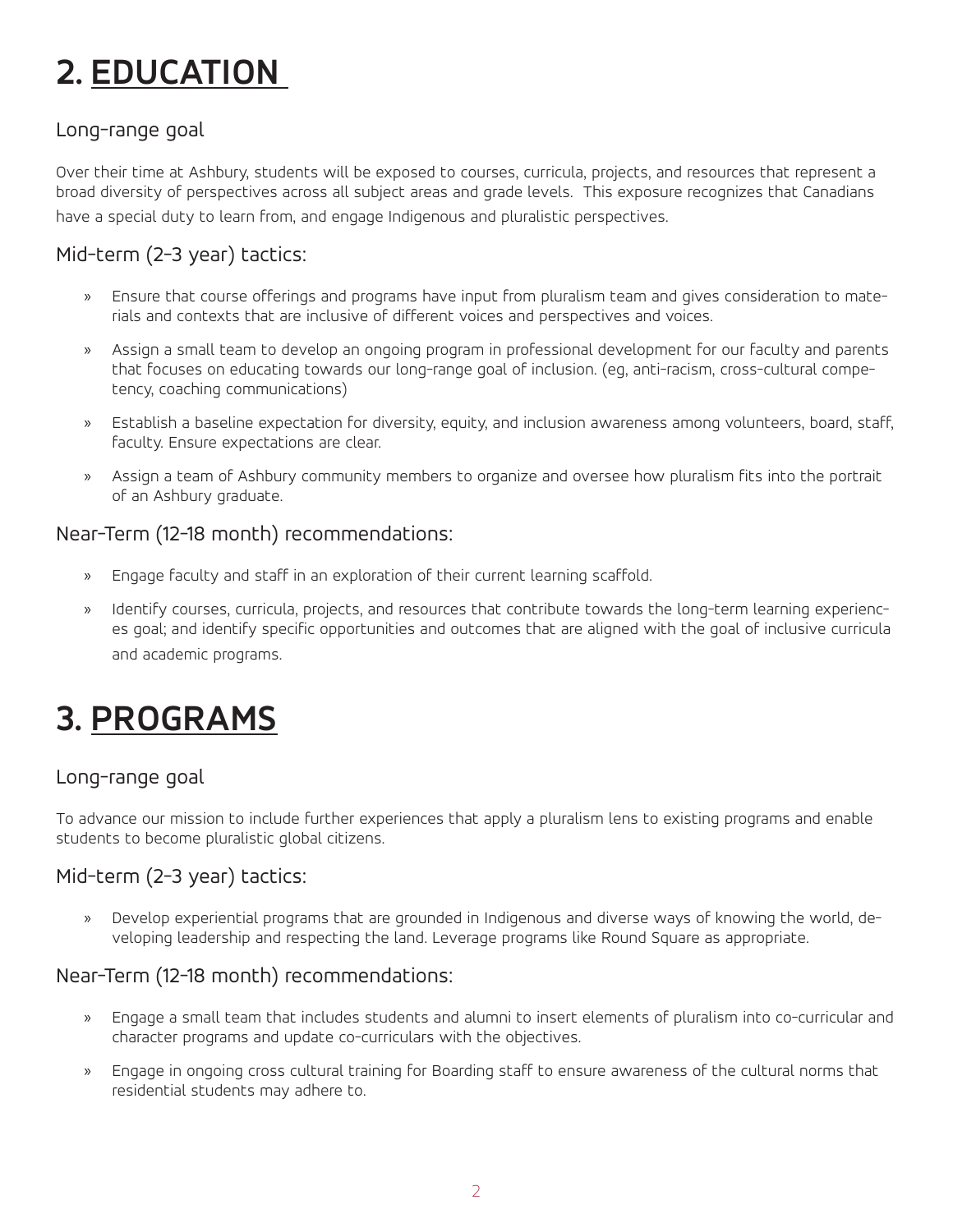## **2. EDUCATION**

#### Long-range goal

Over their time at Ashbury, students will be exposed to courses, curricula, projects, and resources that represent a broad diversity of perspectives across all subject areas and grade levels. This exposure recognizes that Canadians have a special duty to learn from, and engage Indigenous and pluralistic perspectives.

#### Mid-term (2-3 year) tactics:

- » Ensure that course offerings and programs have input from pluralism team and gives consideration to materials and contexts that are inclusive of different voices and perspectives and voices.
- » Assign a small team to develop an ongoing program in professional development for our faculty and parents that focuses on educating towards our long-range goal of inclusion. (eg, anti-racism, cross-cultural competency, coaching communications)
- » Establish a baseline expectation for diversity, equity, and inclusion awareness among volunteers, board, staff, faculty. Ensure expectations are clear.
- » Assign a team of Ashbury community members to organize and oversee how pluralism fits into the portrait of an Ashbury graduate.

#### Near-Term (12-18 month) recommendations:

- » Engage faculty and staff in an exploration of their current learning scaffold.
- » Identify courses, curricula, projects, and resources that contribute towards the long-term learning experiences goal; and identify specific opportunities and outcomes that are aligned with the goal of inclusive curricula and academic programs.

## **3. PROGRAMS**

#### Long-range goal

To advance our mission to include further experiences that apply a pluralism lens to existing programs and enable students to become pluralistic global citizens.

#### Mid-term (2-3 year) tactics:

» Develop experiential programs that are grounded in Indigenous and diverse ways of knowing the world, developing leadership and respecting the land. Leverage programs like Round Square as appropriate.

#### Near-Term (12-18 month) recommendations:

- » Engage a small team that includes students and alumni to insert elements of pluralism into co-curricular and character programs and update co-curriculars with the objectives.
- » Engage in ongoing cross cultural training for Boarding staff to ensure awareness of the cultural norms that residential students may adhere to.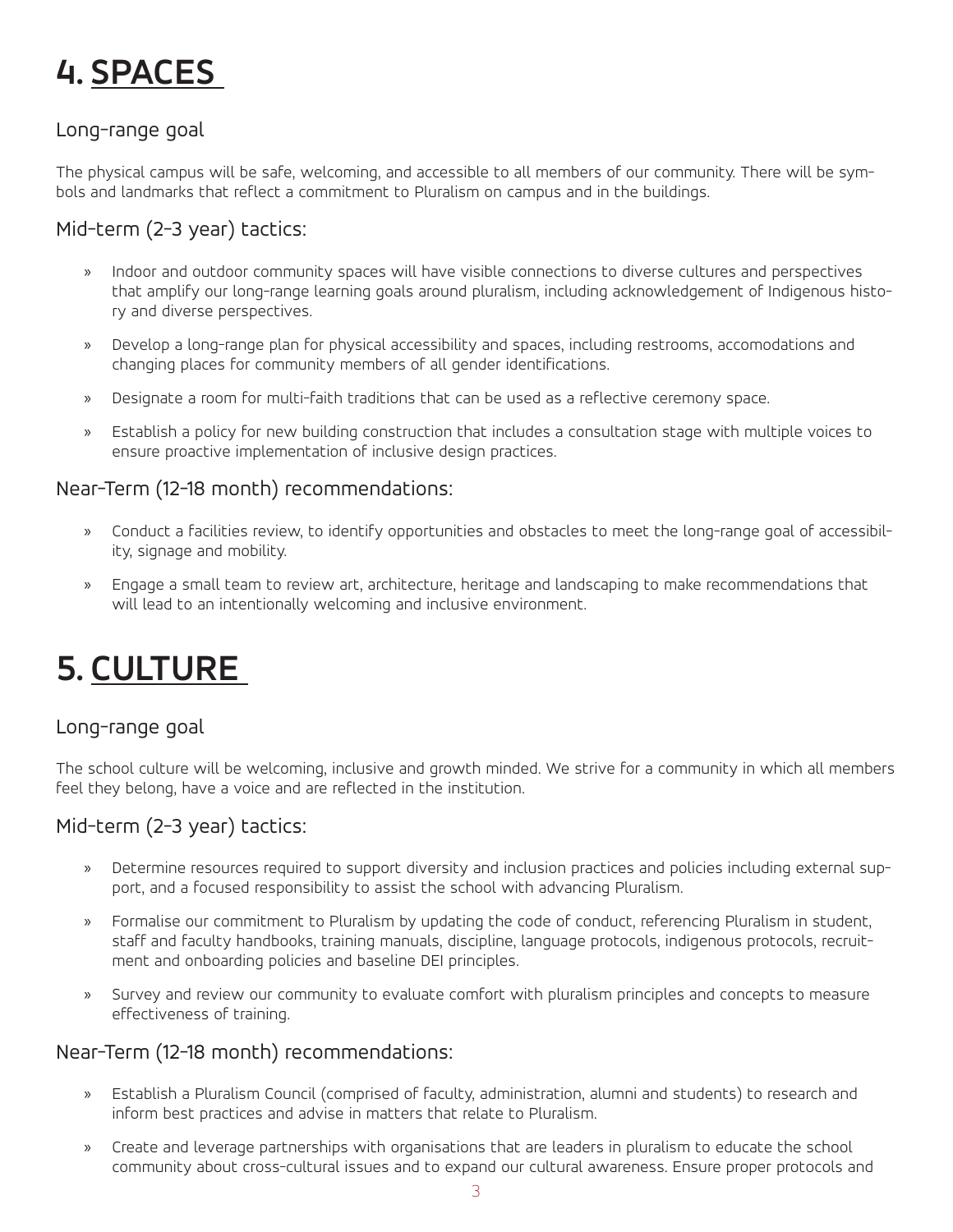## **4. SPACES**

#### Long-range goal

The physical campus will be safe, welcoming, and accessible to all members of our community. There will be symbols and landmarks that reflect a commitment to Pluralism on campus and in the buildings.

#### Mid-term (2-3 year) tactics:

- » Indoor and outdoor community spaces will have visible connections to diverse cultures and perspectives that amplify our long-range learning goals around pluralism, including acknowledgement of Indigenous history and diverse perspectives.
- » Develop a long-range plan for physical accessibility and spaces, including restrooms, accomodations and changing places for community members of all gender identifications.
- » Designate a room for multi-faith traditions that can be used as a reflective ceremony space.
- » Establish a policy for new building construction that includes a consultation stage with multiple voices to ensure proactive implementation of inclusive design practices.

#### Near-Term (12-18 month) recommendations:

- » Conduct a facilities review, to identify opportunities and obstacles to meet the long-range goal of accessibility, signage and mobility.
- » Engage a small team to review art, architecture, heritage and landscaping to make recommendations that will lead to an intentionally welcoming and inclusive environment.

## **5. CULTURE**

#### Long-range goal

The school culture will be welcoming, inclusive and growth minded. We strive for a community in which all members feel they belong, have a voice and are reflected in the institution.

#### Mid-term (2-3 year) tactics:

- » Determine resources required to support diversity and inclusion practices and policies including external support, and a focused responsibility to assist the school with advancing Pluralism.
- » Formalise our commitment to Pluralism by updating the code of conduct, referencing Pluralism in student, staff and faculty handbooks, training manuals, discipline, language protocols, indigenous protocols, recruitment and onboarding policies and baseline DEI principles.
- » Survey and review our community to evaluate comfort with pluralism principles and concepts to measure effectiveness of training.

#### Near-Term (12-18 month) recommendations:

- » Establish a Pluralism Council (comprised of faculty, administration, alumni and students) to research and inform best practices and advise in matters that relate to Pluralism.
- » Create and leverage partnerships with organisations that are leaders in pluralism to educate the school community about cross-cultural issues and to expand our cultural awareness. Ensure proper protocols and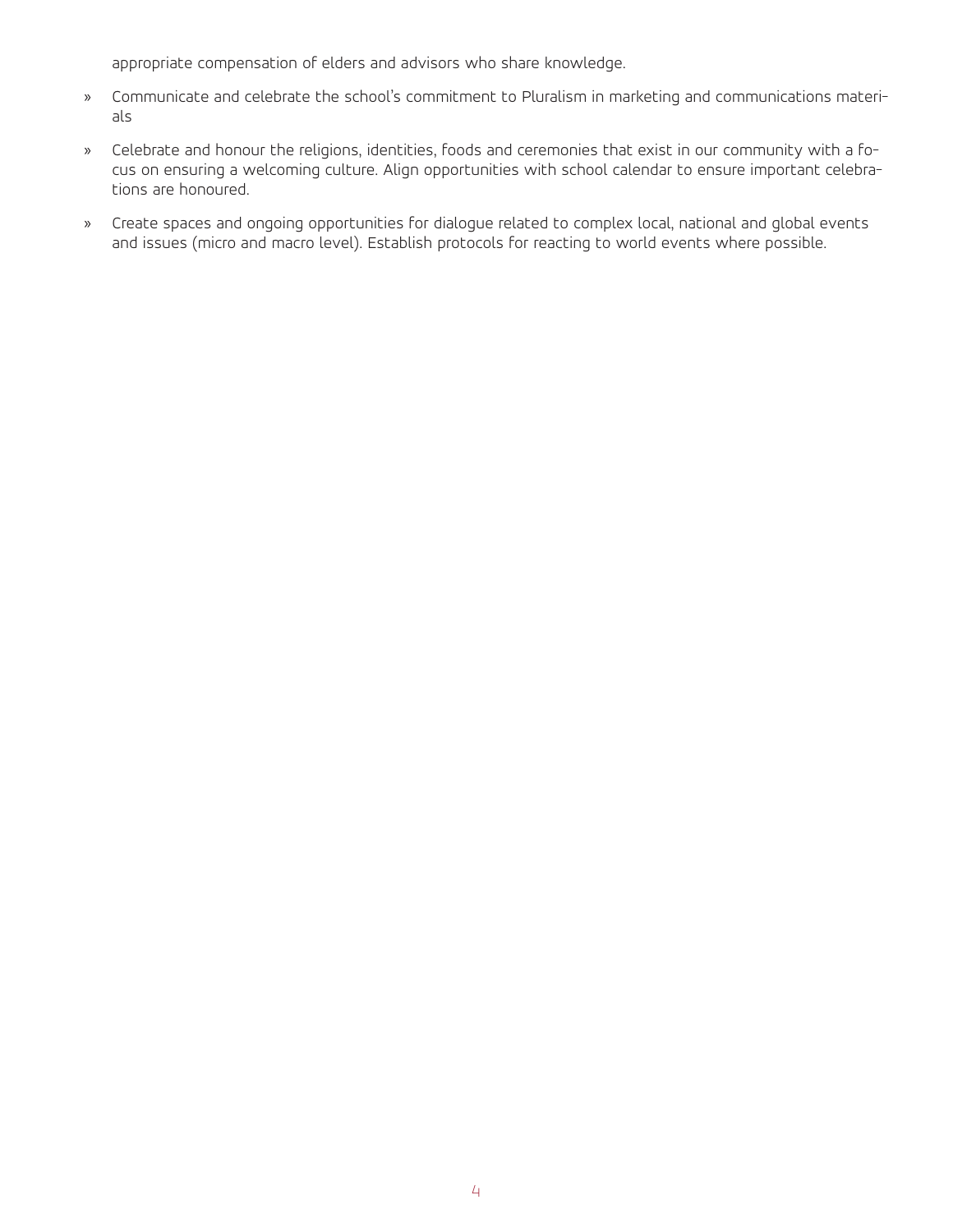appropriate compensation of elders and advisors who share knowledge.

- » Communicate and celebrate the school's commitment to Pluralism in marketing and communications materials
- » Celebrate and honour the religions, identities, foods and ceremonies that exist in our community with a focus on ensuring a welcoming culture. Align opportunities with school calendar to ensure important celebrations are honoured.
- » Create spaces and ongoing opportunities for dialogue related to complex local, national and global events and issues (micro and macro level). Establish protocols for reacting to world events where possible.